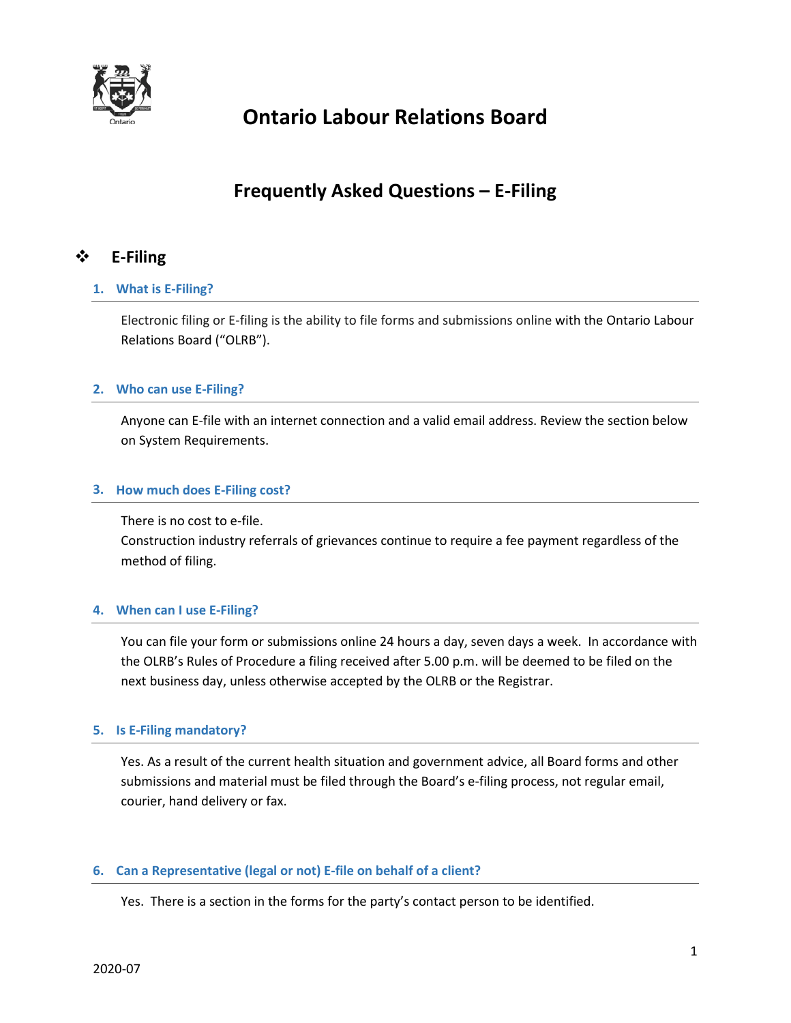

# **Ontario Labour Relations Board**

# **Frequently Asked Questions – E-Filing**

# **E-Filing**

# **1. What is E-Filing?**

Electronic filing or E-filing is the ability to file forms and submissions online with the Ontario Labour Relations Board ("OLRB").

# **2. Who can use E-Filing?**

Anyone can E-file with an internet connection and a valid email address. Review the section below on System Requirements.

# **3. How much does E-Filing cost?**

There is no cost to e-file.

Construction industry referrals of grievances continue to require a fee payment regardless of the method of filing.

# **4. When can I use E-Filing?**

You can file your form or submissions online 24 hours a day, seven days a week. In accordance with the OLRB's Rules of Procedure a filing received after 5.00 p.m. will be deemed to be filed on the next business day, unless otherwise accepted by the OLRB or the Registrar.

## **5. Is E-Filing mandatory?**

Yes. As a result of the current health situation and government advice, all Board forms and other submissions and material must be filed through the Board's e-filing process, not regular email, courier, hand delivery or fax.

# **6. Can a Representative (legal or not) E-file on behalf of a client?**

Yes. There is a section in the forms for the party's contact person to be identified.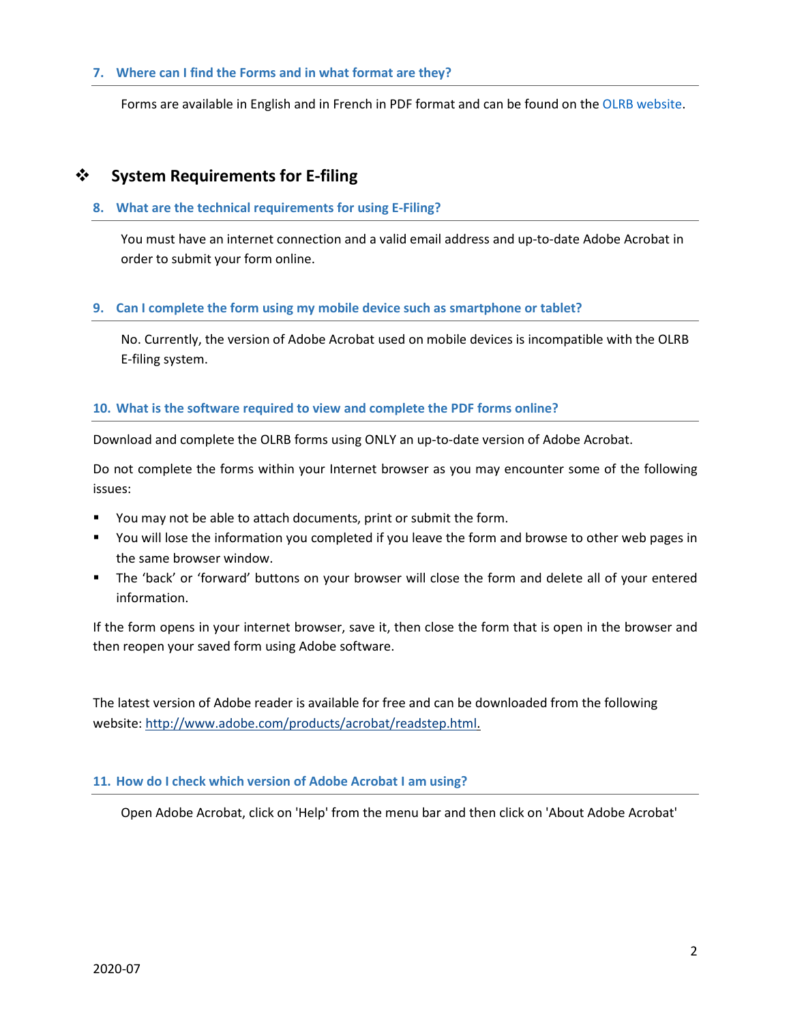# **7. Where can I find the Forms and in what format are they?**

Forms are available in English and in French in PDF format and can be found on th[e OLRB website.](http://www.olrb.gov.on.ca/)

# **System Requirements for E-filing**

#### **8. What are the technical requirements for using E-Filing?**

You must have an internet connection and a valid email address and up-to-date Adobe Acrobat in order to submit your form online.

## **9. Can I complete the form using my mobile device such as smartphone or tablet?**

No. Currently, the version of Adobe Acrobat used on mobile devices is incompatible with the OLRB E-filing system.

## **10. What is the software required to view and complete the PDF forms online?**

Download and complete the OLRB forms using ONLY an up-to-date version of Adobe Acrobat.

Do not complete the forms within your Internet browser as you may encounter some of the following issues:

- You may not be able to attach documents, print or submit the form.
- You will lose the information you completed if you leave the form and browse to other web pages in the same browser window.
- The 'back' or 'forward' buttons on your browser will close the form and delete all of your entered information.

If the form opens in your internet browser, save it, then close the form that is open in the browser and then reopen your saved form using Adobe software.

The latest version of Adobe reader is available for free and can be downloaded from the following website[: http://www.adobe.com/products/acrobat/readstep.html.](http://www.adobe.com/products/acrobat/readstep.html)

## **11. How do I check which version of Adobe Acrobat I am using?**

Open Adobe Acrobat, click on 'Help' from the menu bar and then click on 'About Adobe Acrobat'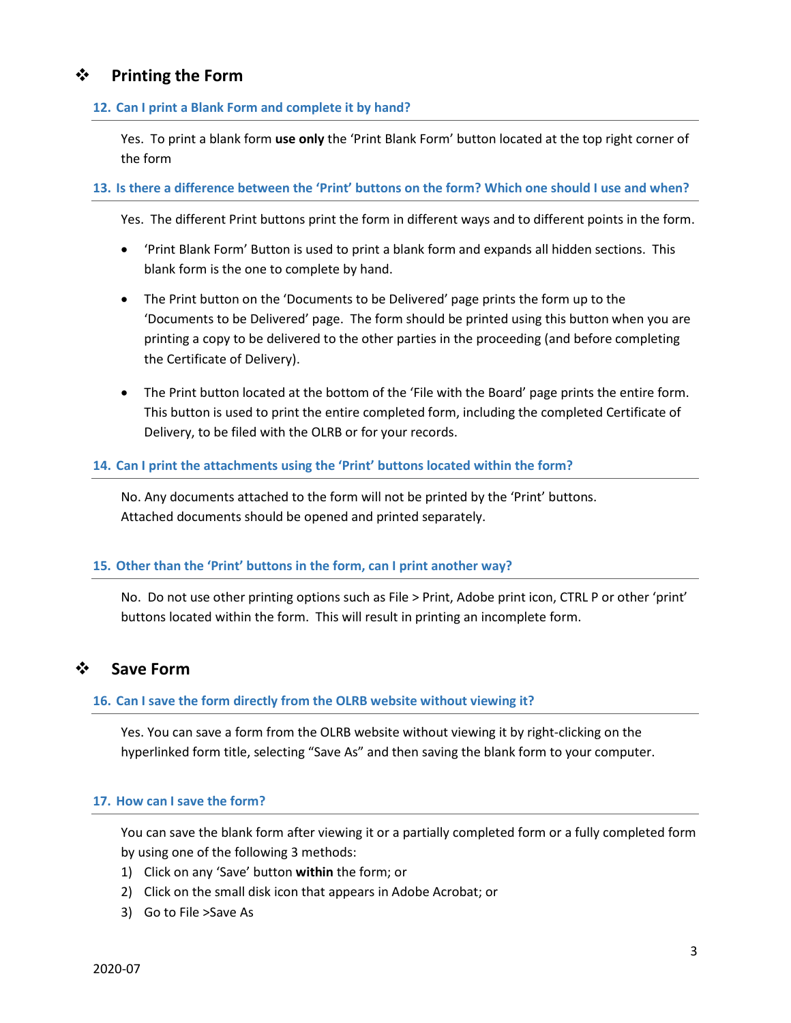# **Printing the Form**

# **12. Can I print a Blank Form and complete it by hand?**

Yes. To print a blank form **use only** the 'Print Blank Form' button located at the top right corner of the form

# **13. Is there a difference between the 'Print' buttons on the form? Which one should I use and when?**

Yes. The different Print buttons print the form in different ways and to different points in the form.

- 'Print Blank Form' Button is used to print a blank form and expands all hidden sections. This blank form is the one to complete by hand.
- The Print button on the 'Documents to be Delivered' page prints the form up to the 'Documents to be Delivered' page. The form should be printed using this button when you are printing a copy to be delivered to the other parties in the proceeding (and before completing the Certificate of Delivery).
- The Print button located at the bottom of the 'File with the Board' page prints the entire form. This button is used to print the entire completed form, including the completed Certificate of Delivery, to be filed with the OLRB or for your records.

# **14. Can I print the attachments using the 'Print' buttons located within the form?**

No. Any documents attached to the form will not be printed by the 'Print' buttons. Attached documents should be opened and printed separately.

## **15. Other than the 'Print' buttons in the form, can I print another way?**

No. Do not use other printing options such as File > Print, Adobe print icon, CTRL P or other 'print' buttons located within the form. This will result in printing an incomplete form.

# **Save Form**

# **16. Can I save the form directly from the OLRB website without viewing it?**

Yes. You can save a form from the OLRB website without viewing it by right-clicking on the hyperlinked form title, selecting "Save As" and then saving the blank form to your computer.

## **17. How can I save the form?**

You can save the blank form after viewing it or a partially completed form or a fully completed form by using one of the following 3 methods:

- 1) Click on any 'Save' button **within** the form; or
- 2) Click on the small disk icon that appears in Adobe Acrobat; or
- 3) Go to File >Save As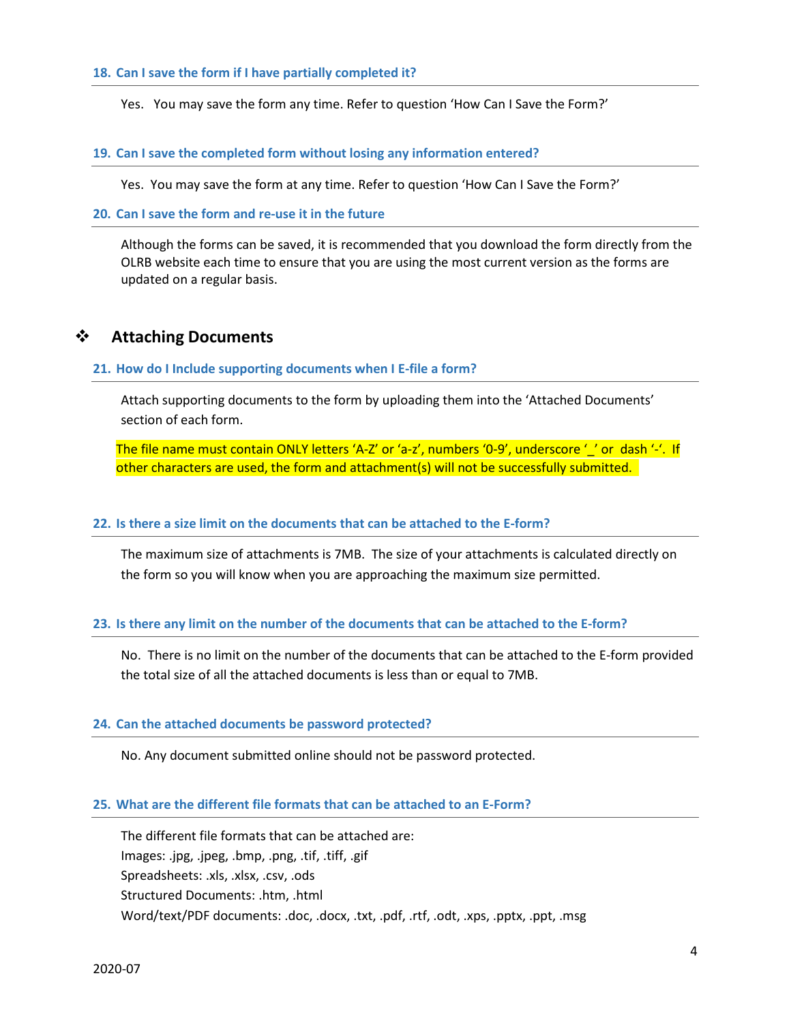#### **18. Can I save the form if I have partially completed it?**

Yes. You may save the form any time. Refer to question 'How Can I Save the Form?'

#### **19. Can I save the completed form without losing any information entered?**

Yes. You may save the form at any time. Refer to question 'How Can I Save the Form?'

# **20. Can I save the form and re-use it in the future**

Although the forms can be saved, it is recommended that you download the form directly from the OLRB website each time to ensure that you are using the most current version as the forms are updated on a regular basis.

# **Attaching Documents**

#### **21. How do I Include supporting documents when I E-file a form?**

Attach supporting documents to the form by uploading them into the 'Attached Documents' section of each form.

The file name must contain ONLY letters 'A-Z' or 'a-z', numbers '0-9', underscore '\_' or dash '-'. If other characters are used, the form and attachment(s) will not be successfully submitted.

#### **22. Is there a size limit on the documents that can be attached to the E-form?**

The maximum size of attachments is 7MB. The size of your attachments is calculated directly on the form so you will know when you are approaching the maximum size permitted.

#### **23. Is there any limit on the number of the documents that can be attached to the E-form?**

No. There is no limit on the number of the documents that can be attached to the E-form provided the total size of all the attached documents is less than or equal to 7MB.

# **24. Can the attached documents be password protected?**

No. Any document submitted online should not be password protected.

### **25. What are the different file formats that can be attached to an E-Form?**

The different file formats that can be attached are: Images: .jpg, .jpeg, .bmp, .png, .tif, .tiff, .gif Spreadsheets: .xls, .xlsx, .csv, .ods Structured Documents: .htm, .html Word/text/PDF documents: .doc, .docx, .txt, .pdf, .rtf, .odt, .xps, .pptx, .ppt, .msg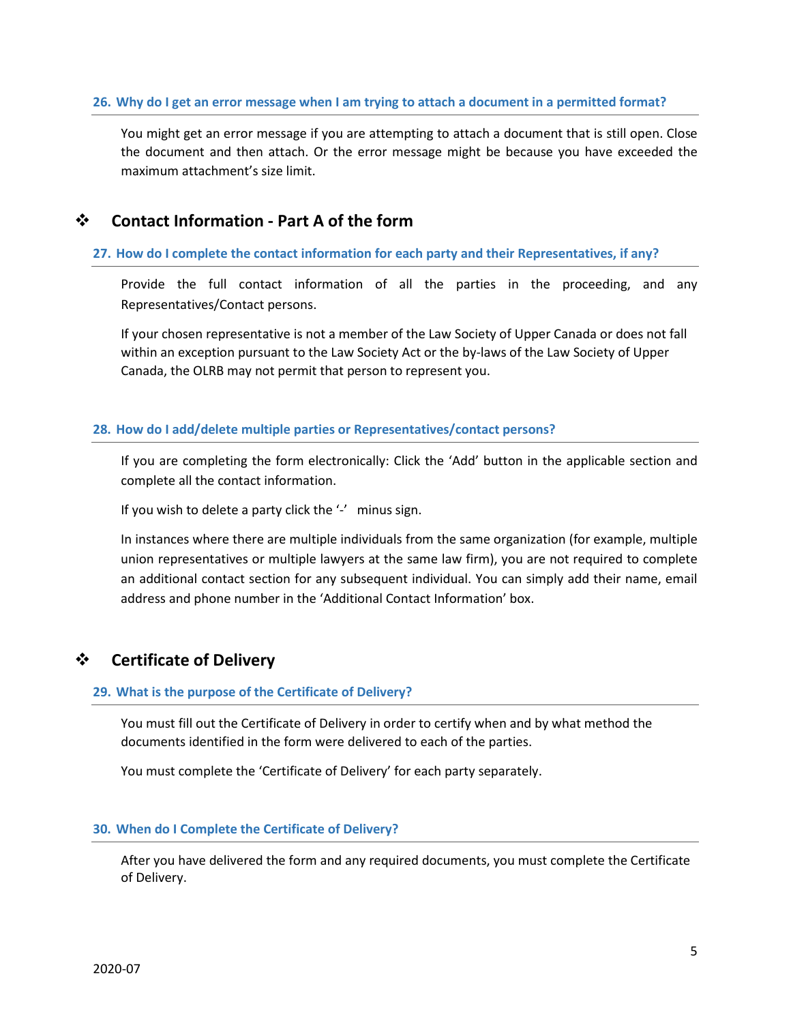# **26. Why do I get an error message when I am trying to attach a document in a permitted format?**

You might get an error message if you are attempting to attach a document that is still open. Close the document and then attach. Or the error message might be because you have exceeded the maximum attachment's size limit.

# **Contact Information - Part A of the form**

# **27. How do I complete the contact information for each party and their Representatives, if any?**

Provide the full contact information of all the parties in the proceeding, and any Representatives/Contact persons.

If your chosen representative is not a member of the Law Society of Upper Canada or does not fall within an exception pursuant to the Law Society Act or the by-laws of the Law Society of Upper Canada, the OLRB may not permit that person to represent you.

# **28. How do I add/delete multiple parties or Representatives/contact persons?**

If you are completing the form electronically: Click the 'Add' button in the applicable section and complete all the contact information.

If you wish to delete a party click the '-' minus sign.

In instances where there are multiple individuals from the same organization (for example, multiple union representatives or multiple lawyers at the same law firm), you are not required to complete an additional contact section for any subsequent individual. You can simply add their name, email address and phone number in the 'Additional Contact Information' box.

# **Certificate of Delivery**

# **29. What is the purpose of the Certificate of Delivery?**

You must fill out the Certificate of Delivery in order to certify when and by what method the documents identified in the form were delivered to each of the parties.

You must complete the 'Certificate of Delivery' for each party separately.

## **30. When do I Complete the Certificate of Delivery?**

After you have delivered the form and any required documents, you must complete the Certificate of Delivery.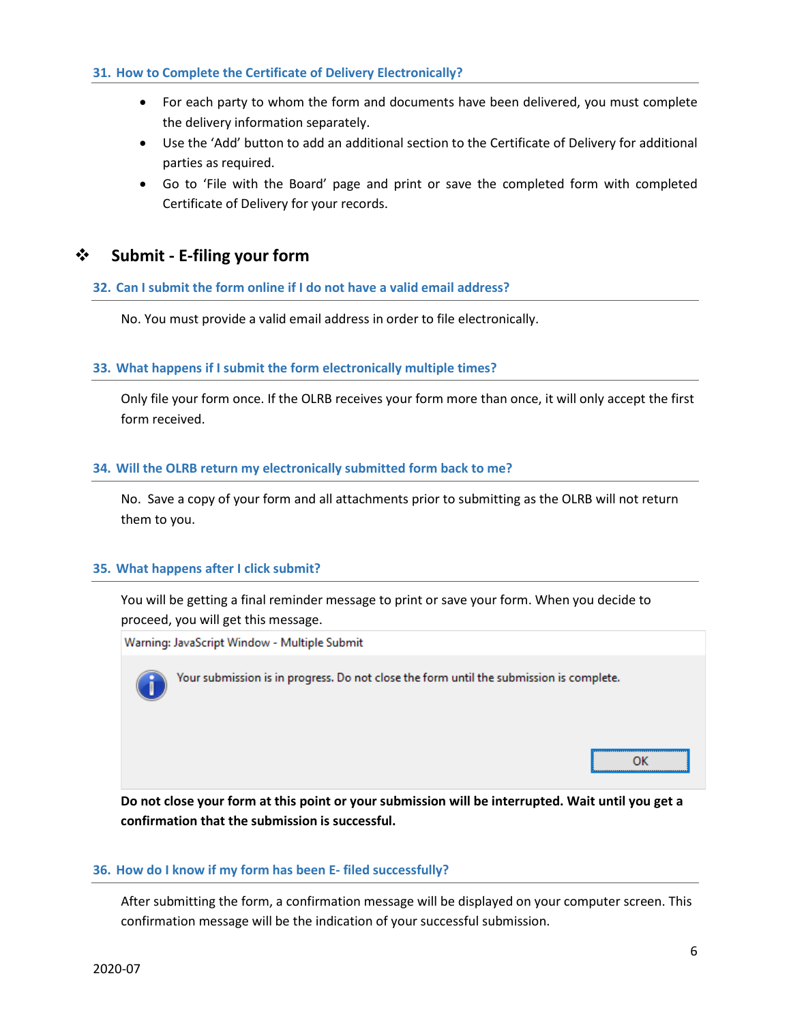# **31. How to Complete the Certificate of Delivery Electronically?**

- For each party to whom the form and documents have been delivered, you must complete the delivery information separately.
- Use the 'Add' button to add an additional section to the Certificate of Delivery for additional parties as required.
- Go to 'File with the Board' page and print or save the completed form with completed Certificate of Delivery for your records.

# **Submit - E-filing your form**

# **32. Can I submit the form online if I do not have a valid email address?**

No. You must provide a valid email address in order to file electronically.

## **33. What happens if I submit the form electronically multiple times?**

Only file your form once. If the OLRB receives your form more than once, it will only accept the first form received.

## **34. Will the OLRB return my electronically submitted form back to me?**

No. Save a copy of your form and all attachments prior to submitting as the OLRB will not return them to you.

## **35. What happens after I click submit?**

You will be getting a final reminder message to print or save your form. When you decide to proceed, you will get this message.

Warning: JavaScript Window - Multiple Submit



Your submission is in progress. Do not close the form until the submission is complete.

OK

**Do not close your form at this point or your submission will be interrupted. Wait until you get a confirmation that the submission is successful.**

## **36. How do I know if my form has been E- filed successfully?**

After submitting the form, a confirmation message will be displayed on your computer screen. This confirmation message will be the indication of your successful submission.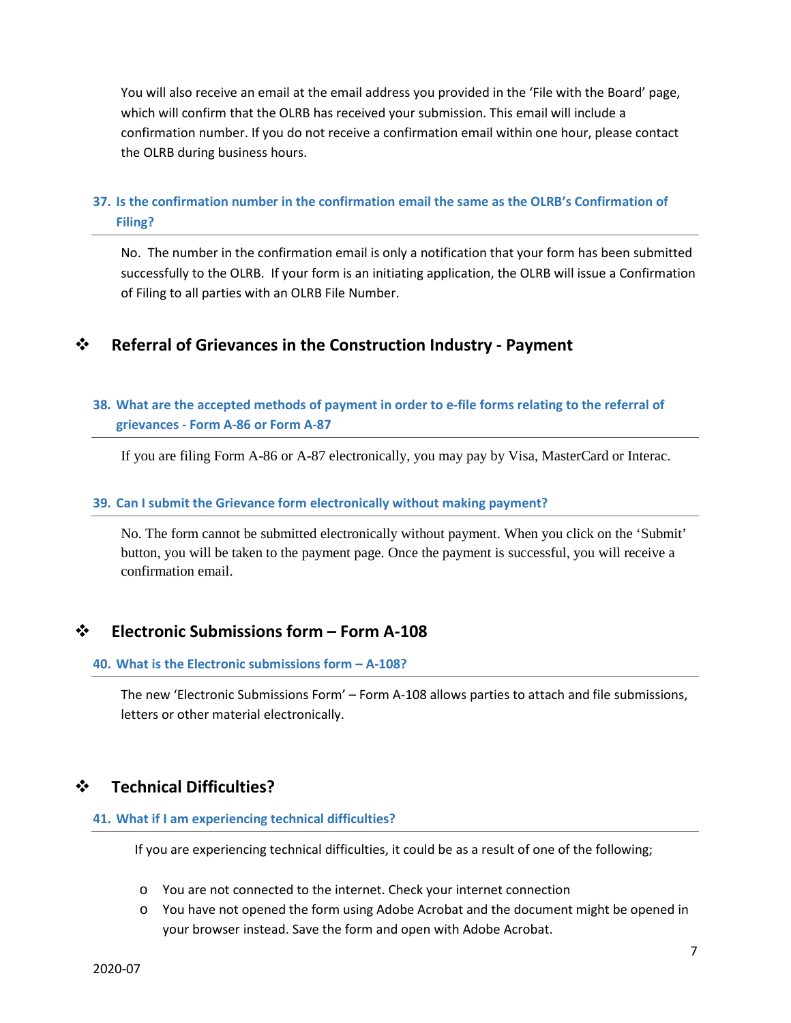You will also receive an email at the email address you provided in the 'File with the Board' page, which will confirm that the OLRB has received your submission. This email will include a confirmation number. If you do not receive a confirmation email within one hour, please contact the OLRB during business hours.

# **37. Is the confirmation number in the confirmation email the same as the OLRB's Confirmation of Filing?**

No. The number in the confirmation email is only a notification that your form has been submitted successfully to the OLRB. If your form is an initiating application, the OLRB will issue a Confirmation of Filing to all parties with an OLRB File Number.

# **Referral of Grievances in the Construction Industry - Payment**

# **38. What are the accepted methods of payment in order to e-file forms relating to the referral of grievances - Form A-86 or Form A-87**

If you are filing Form A-86 or A-87 electronically, you may pay by Visa, MasterCard or Interac.

# **39. Can I submit the Grievance form electronically without making payment?**

No. The form cannot be submitted electronically without payment. When you click on the 'Submit' button, you will be taken to the payment page. Once the payment is successful, you will receive a confirmation email.

# **Electronic Submissions form – Form A-108**

# **40. What is the Electronic submissions form – A-108?**

The new 'Electronic Submissions Form' – Form A-108 allows parties to attach and file submissions, letters or other material electronically.

# **Technical Difficulties?**

## **41. What if I am experiencing technical difficulties?**

If you are experiencing technical difficulties, it could be as a result of one of the following;

- o You are not connected to the internet. Check your internet connection
- o You have not opened the form using Adobe Acrobat and the document might be opened in your browser instead. Save the form and open with Adobe Acrobat.